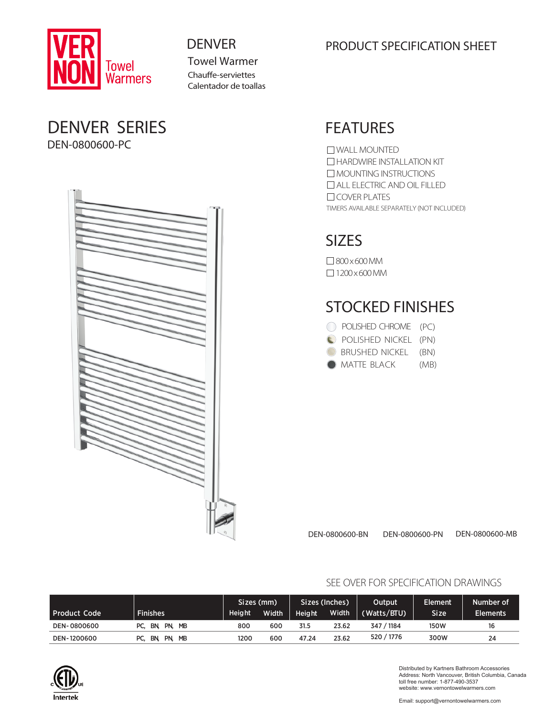

Towel Warmer Chauffe-serviettes Calentador de toallas

## DENVER SERIES DEN-0800600-PC



## DENVER PRODUCT SPECIFICATION SHEET

## FEATURES

TIMERS AVAILABLE SEPARATELY (NOT INCLUDED) WALL MOUNTED **HARDWIRE INSTALLATION KIT** MOUNTING INSTRUCTIONS ALL ELECTRIC AND OIL FILLED O COVER PLATES

## SIZES

800x600MM  $\Box$  1200 x 600 MM

## STOCKED FINISHES

| POLISHED CHROME (PC) |      |
|----------------------|------|
| POLISHED NICKEL (PN) |      |
| BRUSHED NICKEL (BN)  |      |
| <b>MATTE BLACK</b>   | (MB) |

DEN-0800600-BN DEN-0800600-PN DEN-0800600-MB

|                |                             | 'Sizes (mm)   |       | Sizes (Inches) |       | Output.     | Element.    | Number of       |
|----------------|-----------------------------|---------------|-------|----------------|-------|-------------|-------------|-----------------|
| l Product Code | <b>Finishes</b>             | <b>Height</b> | Width | <b>Height</b>  | Width | (Watts/BTU) | <b>Size</b> | <b>Elements</b> |
| DEN-0800600    | PC, BN, PN,<br><b>MB</b>    | 800           | 600   | 31.5           | 23.62 | 347 / 1184  | <b>150W</b> | 16              |
| DEN-1200600    | PN.<br><b>MB</b><br>PC. BN. | 1200          | 600   | 47.24          | 23.62 | 520 / 1776  | 300W        | 24              |

## SEE OVER FOR SPECIFICATION DRAWINGS



Distributed by Kartners Bathroom Accessories Address: North Vancouver, British Columbia, Canada toll free number: 1-877-490-3537 website: www.vernontowelwarmers.com